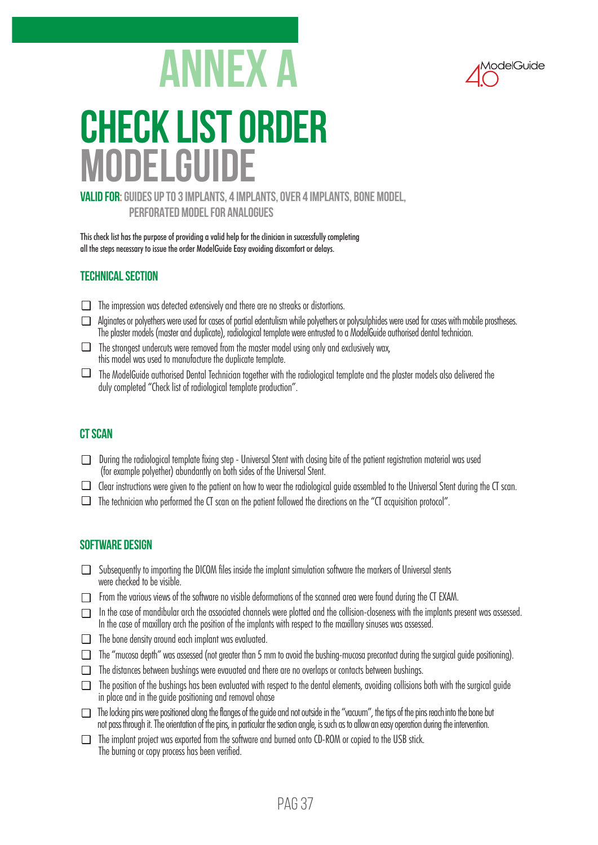

# **CHECK LIST ORDER MODELGUIDE ANNEX A**

**VALID FOR:GUIDES UP TO 3 IMPLANTS, 4 IMPLANTS, OVER 4 IMPLANTS, BONE MODEL, PERFORATED MODEL FOR ANALOGUES**

This check list has the purpose of providing a valid help for the clinician in successfully completing all the steps necessary to issue the order ModelGuide Easy avoiding discomfort or delays.

## **TECHNICAL SECTION**

- $\Box$  The impression was detected extensively and there are no streaks or distortions.
- $\Box$  Alginates or polyethers were used for cases of partial edentulism while polyethers or polysulphides were used for cases with mobile prostheses. The plaster models (master and duplicate), radiological template were entrusted to a ModelGuide authorised dental technician.
- $\Box$  The strongest undercuts were removed from the master model using only and exclusively wax, this model was used to manufacture the duplicate template.
- $\Box$  The ModelGuide authorised Dental Technician together with the radiological template and the plaster models also delivered the duly completed "Check list of radiological template production".

## **CT SCAN**

- During the radiological template fixing step Universal Stent with closing bite of the patient registration material was used (for example polyether) abundantly on both sides of the Universal Stent.
- $\Box$  Clear instructions were given to the patient on how to wear the radiological guide assembled to the Universal Stent during the CT scan.
- $\Box$  The technician who performed the CT scan on the patient followed the directions on the "CT acquisition protocol".

#### **SOFTWARE DESIGN**

- Subsequently to importing the DICOM files inside the implant simulation software the markers of Universal stents were checked to be visible.
- From the various views of the software no visible deformations of the scanned area were found during the CT EXAM.
- $\Box$  In the case of mandibular arch the associated channels were plotted and the collision-closeness with the implants present was assessed. In the case of maxillary arch the position of the implants with respect to the maxillary sinuses was assessed.
- $\Box$  The bone density around each implant was evaluated.
- $\Box$  The "mucosa depth" was assessed (not greater than 5 mm to avoid the bushing-mucosa precontact during the surgical guide positioning).
- $\Box$  The distances between bushings were evauated and there are no overlaps or contacts between bushings.
- $\square$  The position of the bushings has been evaluated with respect to the dental elements, avoiding collisions both with the surgical guide in place and in the guide positioning and removal ohase
- $\Box$  The locking pins were positioned along the flanges of the guide and not outside in the "vacuum", the tips of the pins reach into the bone but not pass through it. The orientation of the pins, in particular the section angle, is such as to allow an easy operation during the intervention.
- The implant project was exported from the software and burned onto CD-ROM or copied to the USB stick. The burning or copy process has been verified.